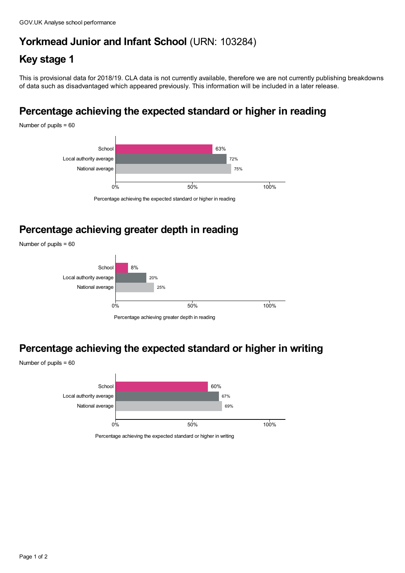## **Yorkmead Junior and Infant School** (URN: 103284)

## **Key stage 1**

This is provisional data for 2018/19. CLA data is not currently available, therefore we are not currently publishing breakdowns of data such as disadvantaged which appeared previously. This information will be included in a later release.

# **Percentage achieving the expected standard or higher in reading**

Number of pupils = 60



Percentage achieving the expected standard or higher in reading

## **Percentage achieving greater depth in reading**

Number of pupils = 60



Percentage achieving greater depth in reading

# **Percentage achieving the expected standard or higher in writing**



Percentage achieving the expected standard or higher in writing